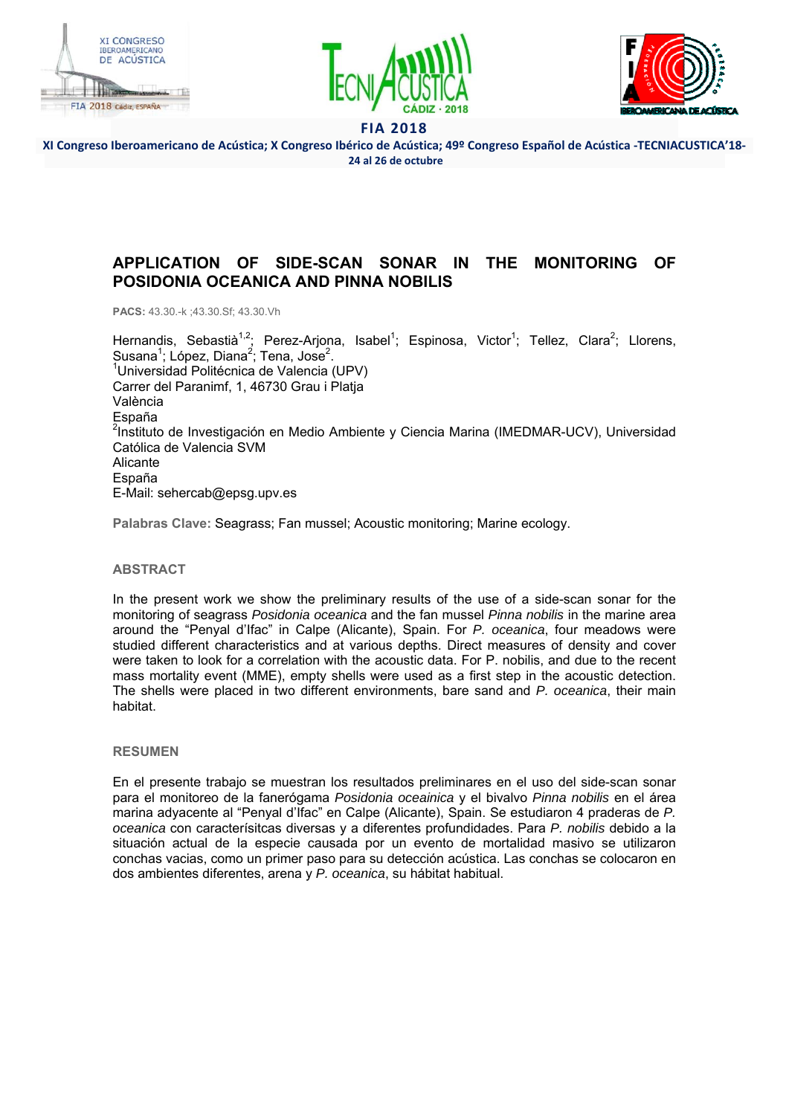





**XI Congreso Iberoamericano de Acústica; X Congreso Ibérico de Acústica; 49º Congreso Español de Acústica ‐TECNIACUSTICA'18‐ 24 al 26 de octubre** 

# **APPLICATION OF SIDE-SCAN SONAR IN THE MONITORING OF POSIDONIA OCEANICA AND PINNA NOBILIS**

**PACS:** 43.30.-k ;43.30.Sf; 43.30.Vh

Hernandis, Sebastià<sup>1,2</sup>; Perez-Arjona, Isabel<sup>1</sup>; Espinosa, Victor<sup>1</sup>; Tellez, Clara<sup>2</sup>; Llorens, Susana<sup>1</sup>; López, Diana<sup>2</sup>; Tena, Jose<sup>2</sup>.<br><sup>1</sup>Llaiversided Pelitéenies de Velencie *(* <sup>1</sup>Universidad Politécnica de Valencia (UPV) Carrer del Paranimf, 1, 46730 Grau i Platja València España <sup>2</sup>Instituto de Investigación en Medio Ambiente y Ciencia Marina (IMEDMAR-UCV), Universidad Católica de Valencia SVM Alicante España E-Mail: sehercab@epsg.upv.es

**Palabras Clave:** Seagrass; Fan mussel; Acoustic monitoring; Marine ecology.

### **ABSTRACT**

In the present work we show the preliminary results of the use of a side-scan sonar for the monitoring of seagrass *Posidonia oceanica* and the fan mussel *Pinna nobilis* in the marine area around the "Penyal d'Ifac" in Calpe (Alicante), Spain. For *P. oceanica*, four meadows were studied different characteristics and at various depths. Direct measures of density and cover were taken to look for a correlation with the acoustic data. For P. nobilis, and due to the recent mass mortality event (MME), empty shells were used as a first step in the acoustic detection. The shells were placed in two different environments, bare sand and *P. oceanica*, their main habitat.

### **RESUMEN**

En el presente trabajo se muestran los resultados preliminares en el uso del side-scan sonar para el monitoreo de la fanerógama *Posidonia oceainica* y el bivalvo *Pinna nobilis* en el área marina adyacente al "Penyal d'Ifac" en Calpe (Alicante), Spain. Se estudiaron 4 praderas de *P. oceanica* con caracterísitcas diversas y a diferentes profundidades. Para *P. nobilis* debido a la situación actual de la especie causada por un evento de mortalidad masivo se utilizaron conchas vacias, como un primer paso para su detección acústica. Las conchas se colocaron en dos ambientes diferentes, arena y *P. oceanica*, su hábitat habitual.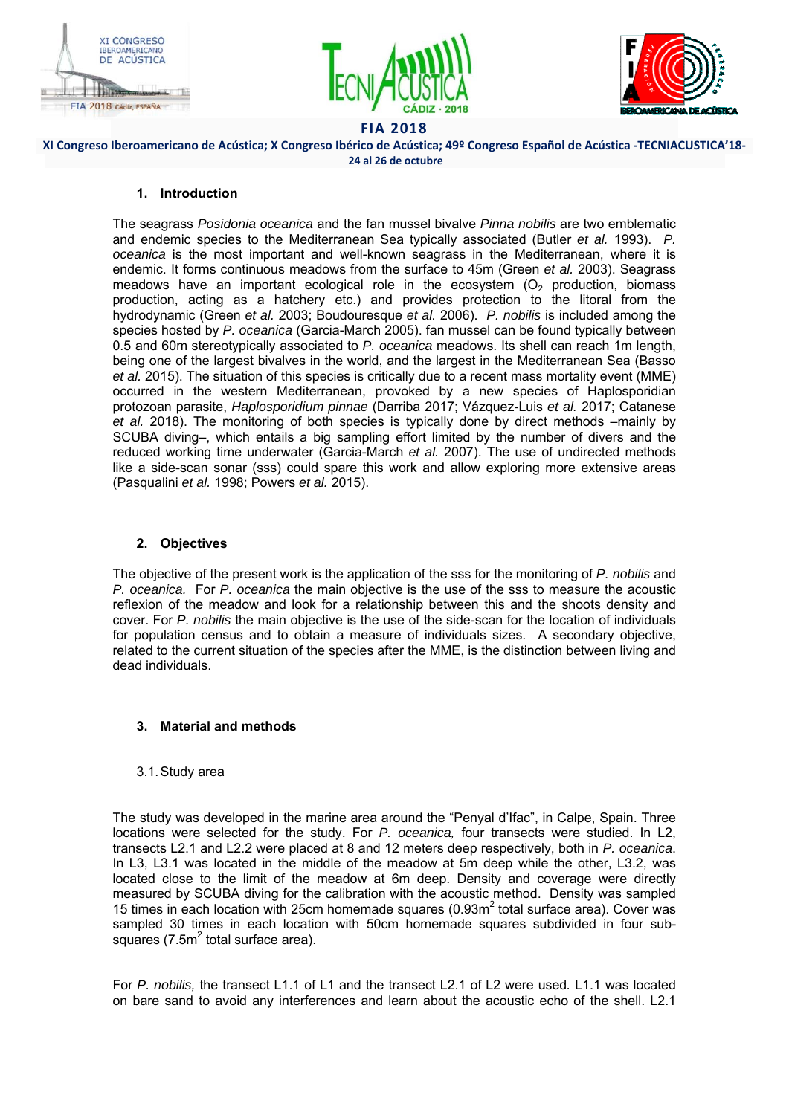





**XI Congreso Iberoamericano de Acústica; X Congreso Ibérico de Acústica; 49º Congreso Español de Acústica ‐TECNIACUSTICA'18‐ 24 al 26 de octubre** 

### **1. Introduction**

The seagrass *Posidonia oceanica* and the fan mussel bivalve *Pinna nobilis* are two emblematic and endemic species to the Mediterranean Sea typically associated (Butler *et al.* 1993). *P. oceanica* is the most important and well-known seagrass in the Mediterranean, where it is endemic. It forms continuous meadows from the surface to 45m (Green *et al.* 2003). Seagrass meadows have an important ecological role in the ecosystem  $(O<sub>2</sub>$  production, biomass production, acting as a hatchery etc.) and provides protection to the litoral from the hydrodynamic (Green *et al.* 2003; Boudouresque *et al.* 2006). *P. nobilis* is included among the species hosted by *P. oceanica* (Garcia-March 2005). fan mussel can be found typically between 0.5 and 60m stereotypically associated to *P. oceanica* meadows. Its shell can reach 1m length, being one of the largest bivalves in the world, and the largest in the Mediterranean Sea (Basso *et al.* 2015). The situation of this species is critically due to a recent mass mortality event (MME) occurred in the western Mediterranean, provoked by a new species of Haplosporidian protozoan parasite, *Haplosporidium pinnae* (Darriba 2017; Vázquez-Luis *et al.* 2017; Catanese *et al.* 2018). The monitoring of both species is typically done by direct methods –mainly by SCUBA diving–, which entails a big sampling effort limited by the number of divers and the reduced working time underwater (Garcia-March *et al.* 2007). The use of undirected methods like a side-scan sonar (sss) could spare this work and allow exploring more extensive areas (Pasqualini *et al.* 1998; Powers *et al.* 2015).

## **2. Objectives**

The objective of the present work is the application of the sss for the monitoring of *P. nobilis* and *P. oceanica.* For *P. oceanica* the main objective is the use of the sss to measure the acoustic reflexion of the meadow and look for a relationship between this and the shoots density and cover. For *P. nobilis* the main objective is the use of the side-scan for the location of individuals for population census and to obtain a measure of individuals sizes. A secondary objective, related to the current situation of the species after the MME, is the distinction between living and dead individuals.

## **3. Material and methods**

### 3.1. Study area

The study was developed in the marine area around the "Penyal d'Ifac", in Calpe, Spain. Three locations were selected for the study. For *P. oceanica,* four transects were studied. In L2, transects L2.1 and L2.2 were placed at 8 and 12 meters deep respectively, both in *P. oceanica*. In L3, L3.1 was located in the middle of the meadow at 5m deep while the other, L3.2, was located close to the limit of the meadow at 6m deep. Density and coverage were directly measured by SCUBA diving for the calibration with the acoustic method. Density was sampled 15 times in each location with 25cm homemade squares (0.93 $m^2$  total surface area). Cover was sampled 30 times in each location with 50cm homemade squares subdivided in four subsquares (7.5 $m^2$  total surface area).

For *P. nobilis,* the transect L1.1 of L1 and the transect L2.1 of L2 were used*.* L1.1 was located on bare sand to avoid any interferences and learn about the acoustic echo of the shell. L2.1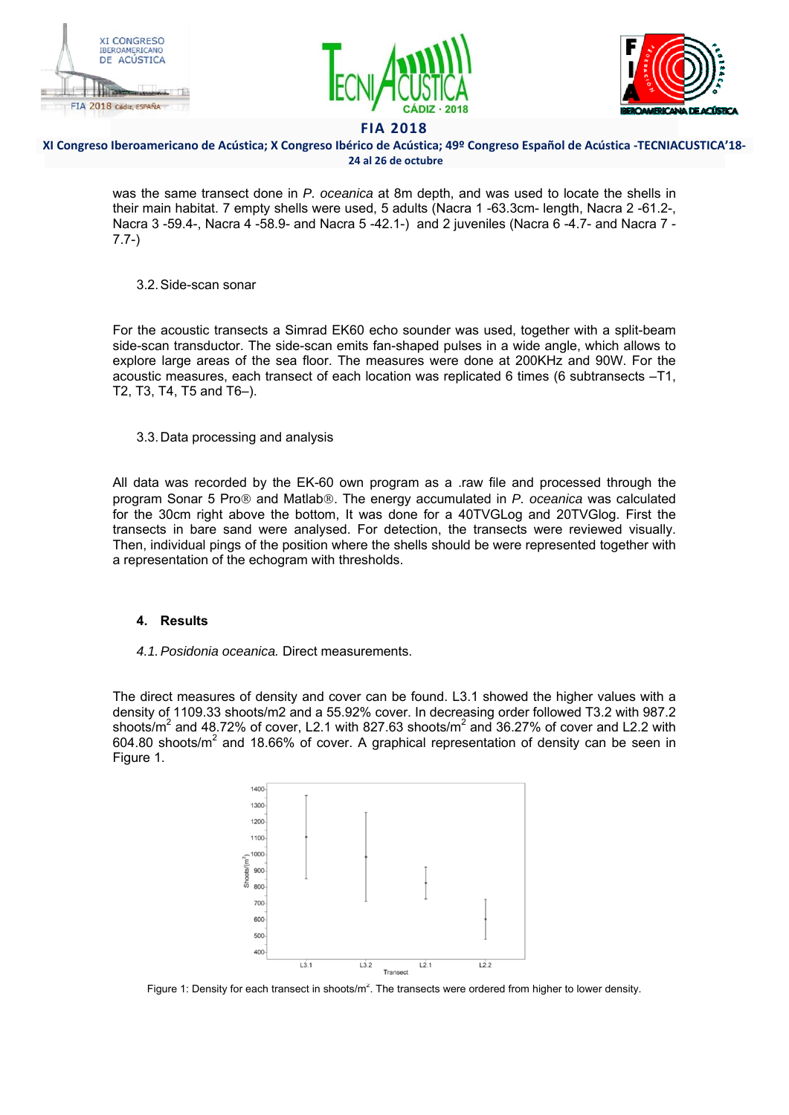





### **XI Congreso Iberoamericano de Acústica; X Congreso Ibérico de Acústica; 49º Congreso Español de Acústica ‐TECNIACUSTICA'18‐ 24 al 26 de octubre**

was the same transect done in *P. oceanica* at 8m depth, and was used to locate the shells in their main habitat. 7 empty shells were used, 5 adults (Nacra 1 -63.3cm- length, Nacra 2 -61.2-, Nacra 3 -59.4-, Nacra 4 -58.9- and Nacra 5 -42.1-) and 2 juveniles (Nacra 6 -4.7- and Nacra 7 - 7.7-)

### 3.2. Side-scan sonar

For the acoustic transects a Simrad EK60 echo sounder was used, together with a split-beam side-scan transductor. The side-scan emits fan-shaped pulses in a wide angle, which allows to explore large areas of the sea floor. The measures were done at 200KHz and 90W. For the acoustic measures, each transect of each location was replicated 6 times (6 subtransects –T1, T2, T3, T4, T5 and T6–).

3.3. Data processing and analysis

All data was recorded by the EK-60 own program as a .raw file and processed through the program Sonar 5 Pro<sup>®</sup> and Matlab<sup>®</sup>. The energy accumulated in *P. oceanica* was calculated for the 30cm right above the bottom, It was done for a 40TVGLog and 20TVGlog. First the transects in bare sand were analysed. For detection, the transects were reviewed visually. Then, individual pings of the position where the shells should be were represented together with a representation of the echogram with thresholds.

## **4. Results**

*4.1. Posidonia oceanica.* Direct measurements.

The direct measures of density and cover can be found. L3.1 showed the higher values with a density of 1109.33 shoots/m2 and a 55.92% cover. In decreasing order followed T3.2 with 987.2 shoots/m $^2$  and 48.72% of cover, L2.1 with 827.63 shoots/m $^2$  and 36.27% of cover and L2.2 with 604.80 shoots/m<sup>2</sup> and 18.66% of cover. A graphical representation of density can be seen in Figure 1.



Figure 1: Density for each transect in shoots/ $m^2$ . The transects were ordered from higher to lower density.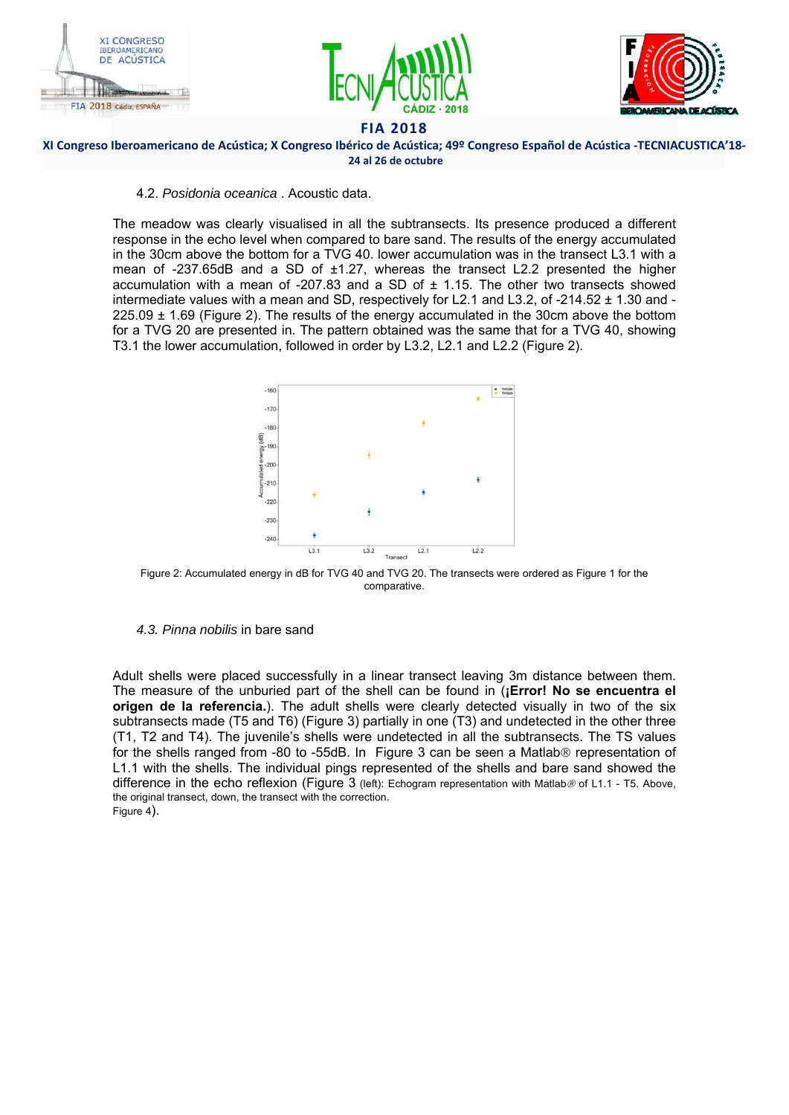





#### **XI Congreso Iberoamericano de Acústica; X Congreso Ibérico de Acústica; 49º Congreso Español de Acústica ‐TECNIACUSTICA'18‐ 24 al 26 de octubre**

### 4.2. *Posidonia oceanica* . Acoustic data.

The meadow was clearly visualised in all the subtransects. Its presence produced a different response in the echo level when compared to bare sand. The results of the energy accumulated in the 30cm above the bottom for a TVG 40. lower accumulation was in the transect L3.1 with a mean of -237.65dB and a SD of ±1.27, whereas the transect L2.2 presented the higher accumulation with a mean of -207.83 and a SD of  $\pm$  1.15. The other two transects showed intermediate values with a mean and SD, respectively for L2.1 and L3.2, of -214.52  $\pm$  1.30 and -225.09 ± 1.69 (Figure 2). The results of the energy accumulated in the 30cm above the bottom for a TVG 20 are presented in. The pattern obtained was the same that for a TVG 40, showing T3.1 the lower accumulation, followed in order by L3.2, L2.1 and L2.2 (Figure 2).



Figure 2: Accumulated energy in dB for TVG 40 and TVG 20. The transects were ordered as Figure 1 for the comparative.

### *4.3. Pinna nobilis* in bare sand

Adult shells were placed successfully in a linear transect leaving 3m distance between them. The measure of the unburied part of the shell can be found in (**¡Error! No se encuentra el origen de la referencia.**). The adult shells were clearly detected visually in two of the six subtransects made (T5 and T6) (Figure 3) partially in one (T3) and undetected in the other three (T1, T2 and T4). The juvenile's shells were undetected in all the subtransects. The TS values for the shells ranged from -80 to -55dB. In Figure 3 can be seen a Matlab $\circledR$  representation of L1.1 with the shells. The individual pings represented of the shells and bare sand showed the difference in the echo reflexion (Figure 3 (left): Echogram representation with Matlab  $\emptyset$  of L1.1 - T5. Above, the original transect, down, the transect with the correction. Figure 4).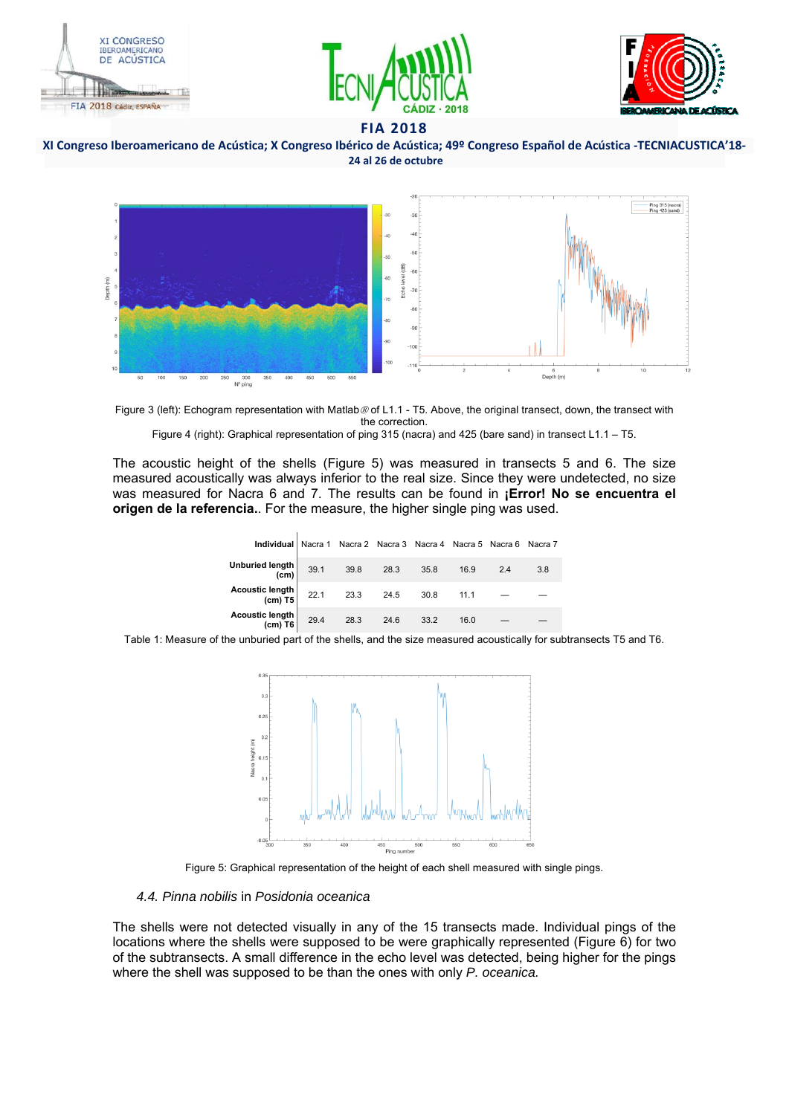





**XI Congreso Iberoamericano de Acústica; X Congreso Ibérico de Acústica; 49º Congreso Español de Acústica ‐TECNIACUSTICA'18‐ 24 al 26 de octubre** 



Figure 3 (left): Echogram representation with Matlab @ of L1.1 - T5. Above, the original transect, down, the transect with the correction. Figure 4 (right): Graphical representation of ping 315 (nacra) and 425 (bare sand) in transect L1.1 - T5.

The acoustic height of the shells (Figure 5) was measured in transects 5 and 6. The size measured acoustically was always inferior to the real size. Since they were undetected, no size was measured for Nacra 6 and 7. The results can be found in **¡Error! No se encuentra el origen de la referencia.**. For the measure, the higher single ping was used.

| <b>Individual</b>   Nacra 1 Nacra 2 Nacra 3 Nacra 4 Nacra 5 Nacra 6 Nacra 7 |      |      |      |      |      |     |     |
|-----------------------------------------------------------------------------|------|------|------|------|------|-----|-----|
| Unburied length  <br>(cm)                                                   | 39.1 | 39.8 | 28.3 | 35.8 | 16.9 | 2.4 | 3.8 |
| <b>Acoustic length</b><br>$(cm)$ T5                                         | 22.1 | 23.3 | 24.5 | 30.8 | 11.1 |     |     |
| <b>Acoustic length</b><br>$(cm)$ T6                                         | 29.4 | 28.3 | 24.6 | 33.2 | 16.0 |     |     |

Table 1: Measure of the unburied part of the shells, and the size measured acoustically for subtransects T5 and T6.





#### *4.4. Pinna nobilis* in *Posidonia oceanica*

The shells were not detected visually in any of the 15 transects made. Individual pings of the locations where the shells were supposed to be were graphically represented (Figure 6) for two of the subtransects. A small difference in the echo level was detected, being higher for the pings where the shell was supposed to be than the ones with only *P. oceanica.*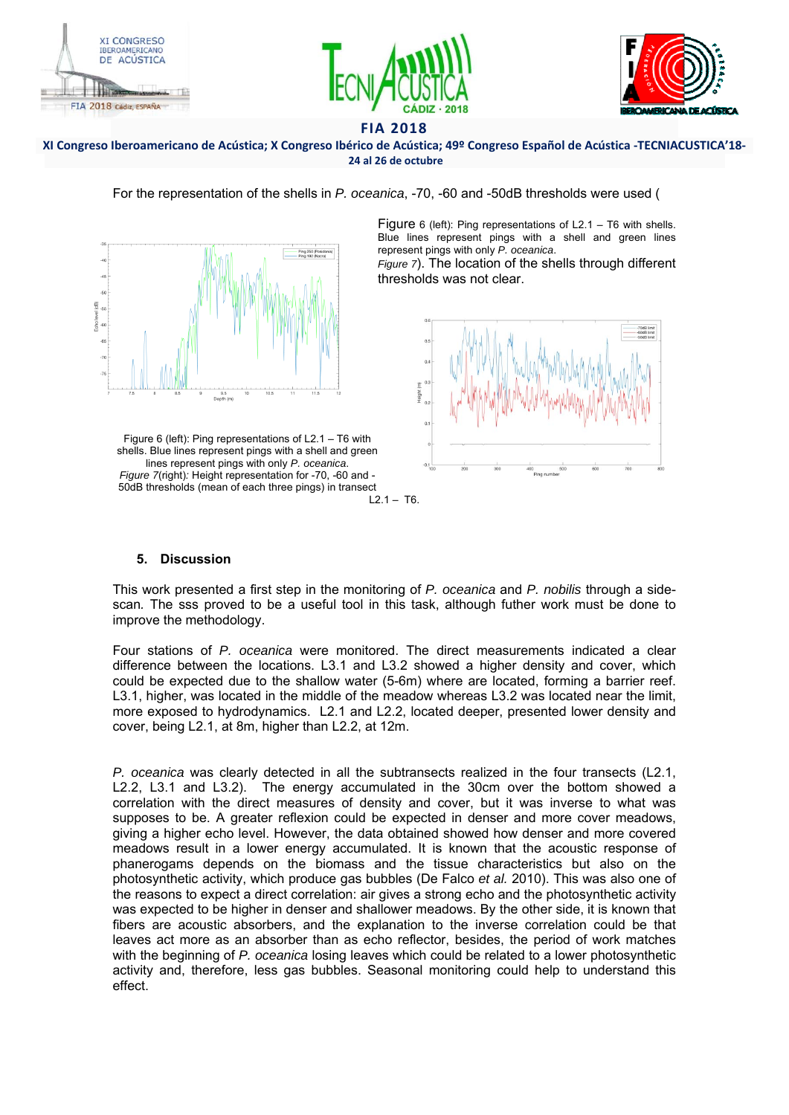





#### **XI Congreso Iberoamericano de Acústica; X Congreso Ibérico de Acústica; 49º Congreso Español de Acústica ‐TECNIACUSTICA'18‐ 24 al 26 de octubre**

For the representation of the shells in *P. oceanica*, -70, -60 and -50dB thresholds were used (

Ping 250 (Posido

Figure 6 (left): Ping representations of L2.1 – T6 with shells. Blue lines represent pings with a shell and green lines represent pings with only *P. oceanica*.

*Figure 7*). The location of the shells through different thresholds was not clear.



#### Figure 6 (left): Ping representations of L2.1 – T6 with shells. Blue lines represent pings with a shell and green lines represent pings with only *P. oceanica*. *Figure 7*(right)*:* Height representation for -70, -60 and - 50dB thresholds (mean of each three pings) in transect

# **5. Discussion**

This work presented a first step in the monitoring of *P. oceanica* and *P. nobilis* through a sidescan*.* The sss proved to be a useful tool in this task, although futher work must be done to improve the methodology.

Four stations of *P. oceanica* were monitored. The direct measurements indicated a clear difference between the locations. L3.1 and L3.2 showed a higher density and cover, which could be expected due to the shallow water (5-6m) where are located, forming a barrier reef. L3.1, higher, was located in the middle of the meadow whereas L3.2 was located near the limit, more exposed to hydrodynamics. L2.1 and L2.2, located deeper, presented lower density and cover, being L2.1, at 8m, higher than L2.2, at 12m.

*P. oceanica* was clearly detected in all the subtransects realized in the four transects (L2.1, L2.2, L3.1 and L3.2). The energy accumulated in the 30cm over the bottom showed a correlation with the direct measures of density and cover, but it was inverse to what was supposes to be. A greater reflexion could be expected in denser and more cover meadows, giving a higher echo level. However, the data obtained showed how denser and more covered meadows result in a lower energy accumulated. It is known that the acoustic response of phanerogams depends on the biomass and the tissue characteristics but also on the photosynthetic activity, which produce gas bubbles (De Falco *et al.* 2010). This was also one of the reasons to expect a direct correlation: air gives a strong echo and the photosynthetic activity was expected to be higher in denser and shallower meadows. By the other side, it is known that fibers are acoustic absorbers, and the explanation to the inverse correlation could be that leaves act more as an absorber than as echo reflector, besides, the period of work matches with the beginning of *P. oceanica* losing leaves which could be related to a lower photosynthetic activity and, therefore, less gas bubbles. Seasonal monitoring could help to understand this effect.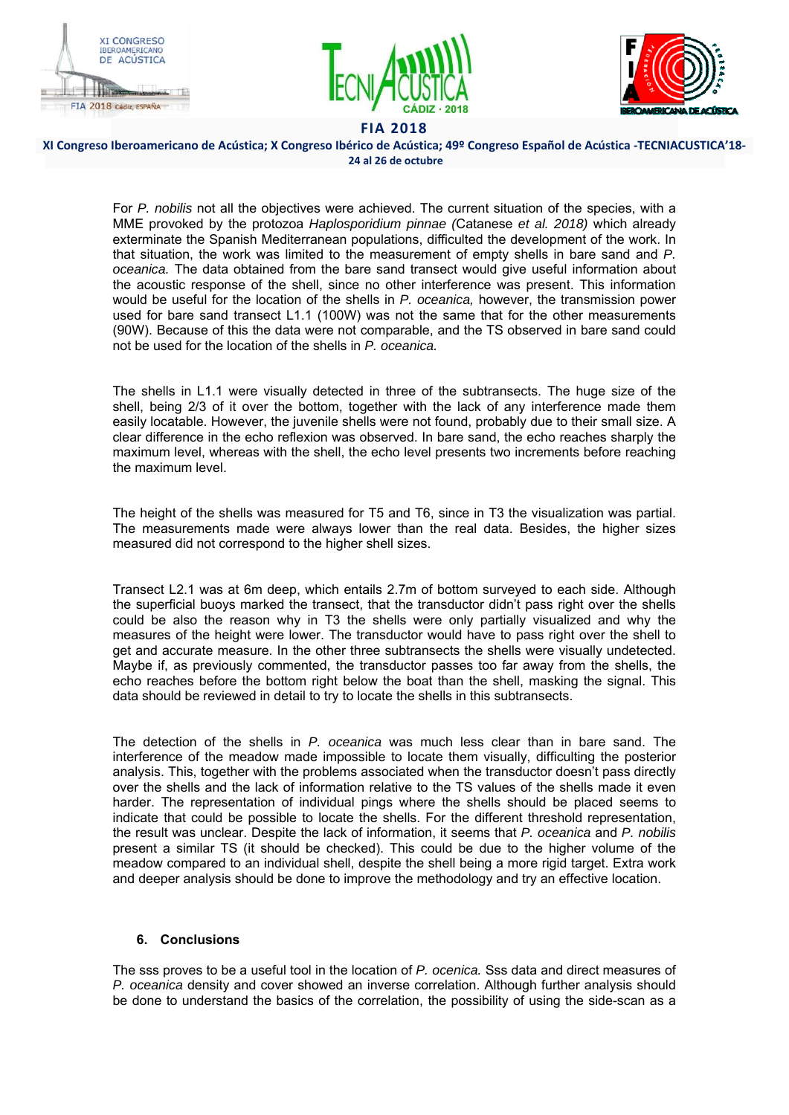





**XI Congreso Iberoamericano de Acústica; X Congreso Ibérico de Acústica; 49º Congreso Español de Acústica ‐TECNIACUSTICA'18‐ 24 al 26 de octubre** 

For *P. nobilis* not all the objectives were achieved. The current situation of the species, with a MME provoked by the protozoa *Haplosporidium pinnae (*Catanese *et al. 2018)* which already exterminate the Spanish Mediterranean populations, difficulted the development of the work. In that situation, the work was limited to the measurement of empty shells in bare sand and *P. oceanica.* The data obtained from the bare sand transect would give useful information about the acoustic response of the shell, since no other interference was present. This information would be useful for the location of the shells in *P. oceanica,* however, the transmission power used for bare sand transect L1.1 (100W) was not the same that for the other measurements (90W). Because of this the data were not comparable, and the TS observed in bare sand could not be used for the location of the shells in *P. oceanica.* 

The shells in L1.1 were visually detected in three of the subtransects. The huge size of the shell, being 2/3 of it over the bottom, together with the lack of any interference made them easily locatable. However, the juvenile shells were not found, probably due to their small size. A clear difference in the echo reflexion was observed. In bare sand, the echo reaches sharply the maximum level, whereas with the shell, the echo level presents two increments before reaching the maximum level.

The height of the shells was measured for T5 and T6, since in T3 the visualization was partial. The measurements made were always lower than the real data. Besides, the higher sizes measured did not correspond to the higher shell sizes.

Transect L2.1 was at 6m deep, which entails 2.7m of bottom surveyed to each side. Although the superficial buoys marked the transect, that the transductor didn't pass right over the shells could be also the reason why in T3 the shells were only partially visualized and why the measures of the height were lower. The transductor would have to pass right over the shell to get and accurate measure. In the other three subtransects the shells were visually undetected. Maybe if, as previously commented, the transductor passes too far away from the shells, the echo reaches before the bottom right below the boat than the shell, masking the signal. This data should be reviewed in detail to try to locate the shells in this subtransects.

The detection of the shells in *P. oceanica* was much less clear than in bare sand. The interference of the meadow made impossible to locate them visually, difficulting the posterior analysis. This, together with the problems associated when the transductor doesn't pass directly over the shells and the lack of information relative to the TS values of the shells made it even harder. The representation of individual pings where the shells should be placed seems to indicate that could be possible to locate the shells. For the different threshold representation, the result was unclear. Despite the lack of information, it seems that *P. oceanica* and *P. nobilis*  present a similar TS (it should be checked). This could be due to the higher volume of the meadow compared to an individual shell, despite the shell being a more rigid target. Extra work and deeper analysis should be done to improve the methodology and try an effective location.

## **6. Conclusions**

The sss proves to be a useful tool in the location of *P. ocenica.* Sss data and direct measures of *P. oceanica* density and cover showed an inverse correlation. Although further analysis should be done to understand the basics of the correlation, the possibility of using the side-scan as a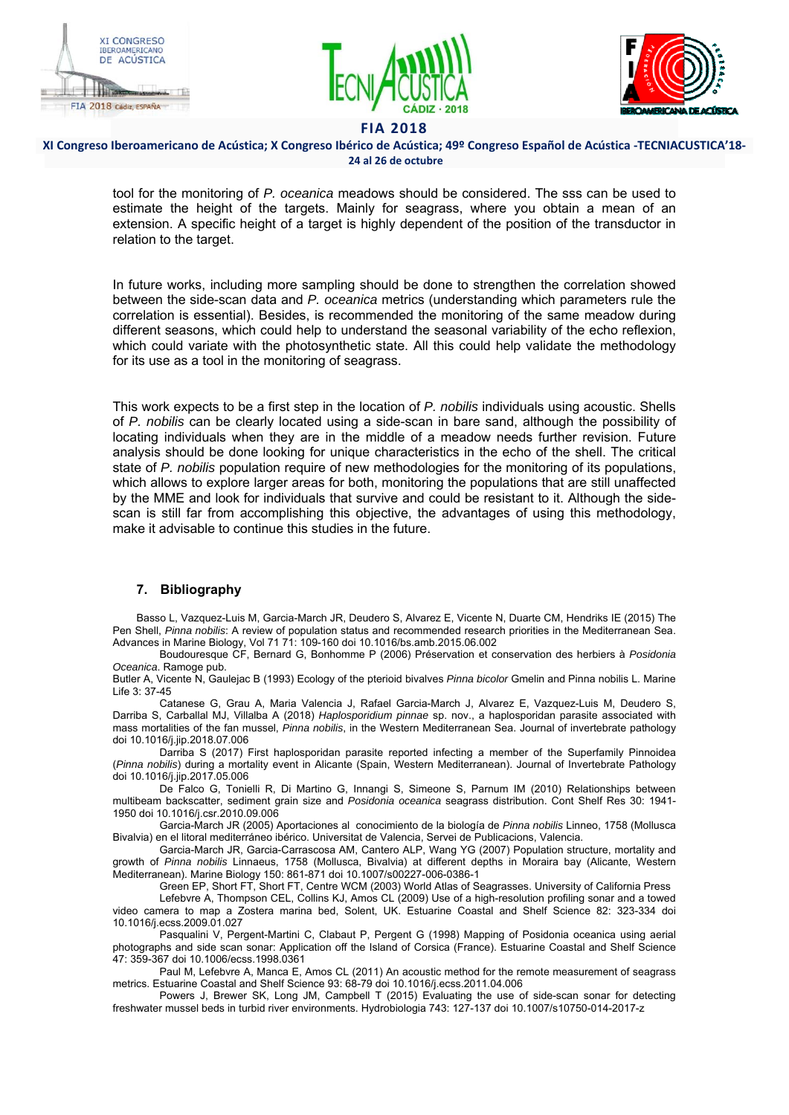





#### **XI Congreso Iberoamericano de Acústica; X Congreso Ibérico de Acústica; 49º Congreso Español de Acústica ‐TECNIACUSTICA'18‐ 24 al 26 de octubre**

tool for the monitoring of *P. oceanica* meadows should be considered. The sss can be used to estimate the height of the targets. Mainly for seagrass, where you obtain a mean of an extension. A specific height of a target is highly dependent of the position of the transductor in relation to the target.

In future works, including more sampling should be done to strengthen the correlation showed between the side-scan data and *P. oceanica* metrics (understanding which parameters rule the correlation is essential). Besides, is recommended the monitoring of the same meadow during different seasons, which could help to understand the seasonal variability of the echo reflexion, which could variate with the photosynthetic state. All this could help validate the methodology for its use as a tool in the monitoring of seagrass.

This work expects to be a first step in the location of *P. nobilis* individuals using acoustic. Shells of *P. nobilis* can be clearly located using a side-scan in bare sand, although the possibility of locating individuals when they are in the middle of a meadow needs further revision. Future analysis should be done looking for unique characteristics in the echo of the shell. The critical state of *P. nobilis* population require of new methodologies for the monitoring of its populations, which allows to explore larger areas for both, monitoring the populations that are still unaffected by the MME and look for individuals that survive and could be resistant to it. Although the sidescan is still far from accomplishing this objective, the advantages of using this methodology, make it advisable to continue this studies in the future.

## **7. Bibliography**

Basso L, Vazquez-Luis M, Garcia-March JR, Deudero S, Alvarez E, Vicente N, Duarte CM, Hendriks IE (2015) The Pen Shell, *Pinna nobilis*: A review of population status and recommended research priorities in the Mediterranean Sea. Advances in Marine Biology, Vol 71 71: 109-160 doi 10.1016/bs.amb.2015.06.002

Boudouresque CF, Bernard G, Bonhomme P (2006) Préservation et conservation des herbiers à *Posidonia Oceanica*. Ramoge pub.

Butler A, Vicente N, Gaulejac B (1993) Ecology of the pterioid bivalves *Pinna bicolor* Gmelin and Pinna nobilis L. Marine Life 3: 37-45

Catanese G, Grau A, Maria Valencia J, Rafael Garcia-March J, Alvarez E, Vazquez-Luis M, Deudero S, Darriba S, Carballal MJ, Villalba A (2018) *Haplosporidium pinnae* sp. nov., a haplosporidan parasite associated with mass mortalities of the fan mussel, *Pinna nobilis*, in the Western Mediterranean Sea. Journal of invertebrate pathology doi 10.1016/j.jip.2018.07.006

Darriba S (2017) First haplosporidan parasite reported infecting a member of the Superfamily Pinnoidea (*Pinna nobilis*) during a mortality event in Alicante (Spain, Western Mediterranean). Journal of Invertebrate Pathology doi 10.1016/j.jip.2017.05.006

De Falco G, Tonielli R, Di Martino G, Innangi S, Simeone S, Parnum IM (2010) Relationships between multibeam backscatter, sediment grain size and *Posidonia oceanica* seagrass distribution. Cont Shelf Res 30: 1941- 1950 doi 10.1016/j.csr.2010.09.006

Garcia-March JR (2005) Aportaciones al conocimiento de la biología de *Pinna nobilis* Linneo, 1758 (Mollusca Bivalvia) en el litoral mediterráneo ibérico. Universitat de Valencia, Servei de Publicacions, Valencia.

Garcia-March JR, Garcia-Carrascosa AM, Cantero ALP, Wang YG (2007) Population structure, mortality and growth of *Pinna nobilis* Linnaeus, 1758 (Mollusca, Bivalvia) at different depths in Moraira bay (Alicante, Western Mediterranean). Marine Biology 150: 861-871 doi 10.1007/s00227-006-0386-1

Green EP, Short FT, Short FT, Centre WCM (2003) World Atlas of Seagrasses. University of California Press Lefebvre A, Thompson CEL, Collins KJ, Amos CL (2009) Use of a high-resolution profiling sonar and a towed

video camera to map a Zostera marina bed, Solent, UK. Estuarine Coastal and Shelf Science 82: 323-334 doi 10.1016/j.ecss.2009.01.027

Pasqualini V, Pergent-Martini C, Clabaut P, Pergent G (1998) Mapping of Posidonia oceanica using aerial photographs and side scan sonar: Application off the Island of Corsica (France). Estuarine Coastal and Shelf Science 47: 359-367 doi 10.1006/ecss.1998.0361

Paul M, Lefebvre A, Manca E, Amos CL (2011) An acoustic method for the remote measurement of seagrass metrics. Estuarine Coastal and Shelf Science 93: 68-79 doi 10.1016/j.ecss.2011.04.006

Powers J, Brewer SK, Long JM, Campbell T (2015) Evaluating the use of side-scan sonar for detecting freshwater mussel beds in turbid river environments. Hydrobiologia 743: 127-137 doi 10.1007/s10750-014-2017-z